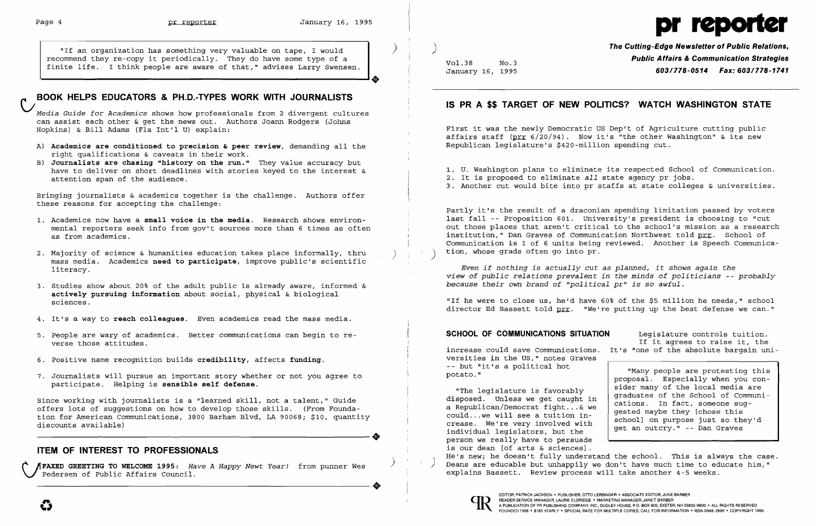

*Media Guide for Academics* shows how professionals from 2 divergent cultures can assist each other & get the news out. Authors Joann Rodgers (Johns Hopkins) & Bill Adams (Fla Int'l U) explain:

- A) Academics are conditioned to precision & peer review, demanding all the right qualifications & caveats in their work.
- B) **Journalists are chasing "history on the run."** They value accuracy but have to deliver on short deadlines with stories keyed to the interest &

**'+** 

"If an organization has something very valuable on tape, I would  $\qquad$  )  $\qquad$   $\qquad$   $\qquad$   $\qquad$   $\qquad$   $\qquad$   $\qquad$   $\qquad$   $\qquad$   $\qquad$   $\qquad$   $\qquad$   $\qquad$   $\qquad$   $\qquad$   $\qquad$   $\qquad$   $\qquad$   $\qquad$   $\qquad$   $\qquad$   $\qquad$   $\qquad$   $\qquad$   $\qquad$ recommend they re-copy it periodically. They do have some type of a **Public Affairs & Communication Strategies** and they re-copy it periodically. They do have some type of a set of the second and the set of that," advises Larry Swensen. Wol. 28 No.3 Mo.3 *Public Affairs & Communication St* 

# V**BOOK HELPS EDUCATORS & PH.D.-TYPES WORK WITH JOURNALISTS**

## **IS PR A \$\$ TARGET OF NEW POLITICS? WATCH WASHINGTON STATE**

First it was the newly Democratic US Dep't of Agriculture cutting public affairs staff ( $prr$  6/20/94). Now it's "the other Washington" & its new<br>Republican legislature's \$420-million spending cut.

have to deliver on short deadlines with stories keyed to the interest & 1. U. Washington plans to eliminate its respected School of Communication.<br>2. It is proposed to eliminate all state agency pr jobs. 2. It is proposed to eliminate *all* state agency pr jobs. 3. Another cut would bite into pr staffs at state colleges & universities.

Bringing journalists & academics together is the challenge. Authors offer these reasons for accepting the challenge:

Partly it's the result of a draconian spending limitation passed by voters 1. Academics now have a **small voice in the media**. Research shows environ-**least proposition 1999** last fall -- Proposition 601. University's president is choosing to "cut<br>mental reporters seek info from gov't sources mor mental reporters seek info from gov't sources more than 6 times as often out those places that aren't critical to the school's mission as a research<br>as from academics. School of institution," Dan Graves of Communication Northwest told prr. School of Communication is 1 of 6 units being reviewed. Another is Speech Communica-<br>tion, whose grads often go into pr.

> Even if nothing is actually cut as planned, it shows again the *view of public relations prevalent in the minds of politicians -- probably because their own brand of "political pr" is so awful.*

> "If he were to close us, he'd have 60% of the \$5 million he needs," school director Ed Bassett told prr. "We're putting up the best defense we can."

- 
- 2. Majority of science & humanities education takes place informally, thru mass media. Academics **need to participate**, improve public's scientific<br>literacy.
- 3. Studies show about 20% of the adult public is already aware, informed & *because their* own *brand of "political pr" is* so *awful.*  **actively pursuing information** about social, physical & biological sciences.
- 4. It's a way to **reach colleagues.** Even academics read the mass media.
- 5. People are wary of academics. Better communications can begin to re **SCHOOL OF COMMUNICATIONS SITUATION** Legislature controls tuition. verse those attitudes.
- 6. Positive name recognition builds **credibility,** affects **funding.** versities in the US," notes Graves
- 7. Journalists will pursue an important story whether or not you agree to participate. Helping is **sensible self defense.**

Since working with journalists is a "learned skill, not a talent," Guide Guide disposed. Unless we get caught in<br>Offers lots of suggestions on how to develop those skills (From Founda. The development fight...& we offers lots of suggestions on how to develop those skills. (From Founda- a lepublican/Democrat fight...& we will see a tuition in-<br>Tion for American Communications, 3800 Barbam Blyd, LA 90068, \$10, quantity ... ........... offers fors of suggestions on now to develop those skills. (From Founda-<br>tion for American Communications, 3800 Barham Blvd, LA 90068; \$10, quantity could...we will see a tuition in-<br>crease. We're very involved with<br>indivi discounts available)<br>discounts available) discounts available

Pedersen of Public Affairs Council. Explains Bassett. Review process will take another 4-5 weeks.

-- but "it's a political hot

"The legislature is favorably<br>disposed. Unless we get caught in individual legislators, but the<br>person we really have to persuade graduates of the School of Communications. In fact, someone suggested maybe they [chose this school] on purpose just so they'd get an outcry." -- Dan Graves ITEM OF INTEREST TO PROFESSIONALS<br>
<sup>He's new; he doesn't fully understand the school. This is always the case.<br>
A FAXED GEERTING TO WELCOME 1995. Have a Hanny Newt Year! from nunner Mes (and a school) Deans are educable bu</sup> FAXED GREETING TO WELCOME 1995: *Have A Happy Newt Year!* from punner Wes Deans are educable but unhappily we don't have much time to educate him,"<br>Pedersen of Public Affairs Council.<br>COUNCEARER, SESSILE REVIEW PROGRATERIC



increase could save Communications. It's "one of the absolute bargain uni If it agrees to raise it, the

> "Many people are protesting this proposal. Especially when you consider many of the local media are